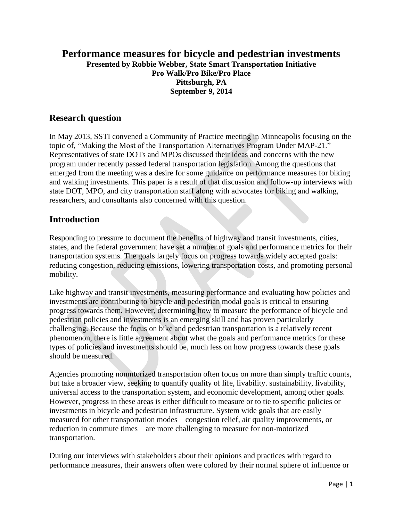### **Performance measures for bicycle and pedestrian investments Presented by Robbie Webber, State Smart Transportation Initiative Pro Walk/Pro Bike/Pro Place Pittsburgh, PA September 9, 2014**

### **Research question**

In May 2013, SSTI convened a Community of Practice meeting in Minneapolis focusing on the topic of, "Making the Most of the Transportation Alternatives Program Under MAP-21." Representatives of state DOTs and MPOs discussed their ideas and concerns with the new program under recently passed federal transportation legislation. Among the questions that emerged from the meeting was a desire for some guidance on performance measures for biking and walking investments. This paper is a result of that discussion and follow-up interviews with state DOT, MPO, and city transportation staff along with advocates for biking and walking, researchers, and consultants also concerned with this question.

### **Introduction**

Responding to pressure to document the benefits of highway and transit investments, cities, states, and the federal government have set a number of goals and performance metrics for their transportation systems. The goals largely focus on progress towards widely accepted goals: reducing congestion, reducing emissions, lowering transportation costs, and promoting personal mobility.

Like highway and transit investments, measuring performance and evaluating how policies and investments are contributing to bicycle and pedestrian modal goals is critical to ensuring progress towards them. However, determining how to measure the performance of bicycle and pedestrian policies and investments is an emerging skill and has proven particularly challenging. Because the focus on bike and pedestrian transportation is a relatively recent phenomenon, there is little agreement about what the goals and performance metrics for these types of policies and investments should be, much less on how progress towards these goals should be measured.

Agencies promoting nonmtorized transportation often focus on more than simply traffic counts, but take a broader view, seeking to quantify quality of life, livability. sustainability, livability, universal access to the transportation system, and economic development, among other goals. However, progress in these areas is either difficult to measure or to tie to specific policies or investments in bicycle and pedestrian infrastructure. System wide goals that are easily measured for other transportation modes – congestion relief, air quality improvements, or reduction in commute times – are more challenging to measure for non-motorized transportation.

During our interviews with stakeholders about their opinions and practices with regard to performance measures, their answers often were colored by their normal sphere of influence or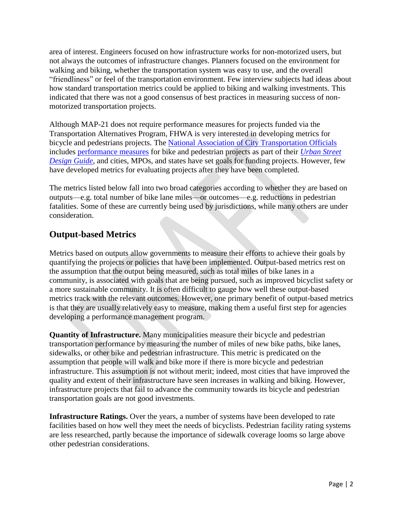area of interest. Engineers focused on how infrastructure works for non-motorized users, but not always the outcomes of infrastructure changes. Planners focused on the environment for walking and biking, whether the transportation system was easy to use, and the overall "friendliness" or feel of the transportation environment. Few interview subjects had ideas about how standard transportation metrics could be applied to biking and walking investments. This indicated that there was not a good consensus of best practices in measuring success of nonmotorized transportation projects.

Although MAP-21 does not require performance measures for projects funded via the Transportation Alternatives Program, FHWA is very interested in developing metrics for bicycle and pedestrians projects. The [National Association of City Transportation Officials](http://www.nacto.org/) includes [performance measures](http://nacto.org/usdg/performance-measures/) for bike and pedestrian projects as part of their *[Urban Street](http://nacto.org/usdg/)  [Design Guide](http://nacto.org/usdg/)*, and cities, MPOs, and states have set goals for funding projects. However, few have developed metrics for evaluating projects after they have been completed.

The metrics listed below fall into two broad categories according to whether they are based on outputs—e.g. total number of bike lane miles—or outcomes—e.g. reductions in pedestrian fatalities. Some of these are currently being used by jurisdictions, while many others are under consideration.

# **Output-based Metrics**

Metrics based on outputs allow governments to measure their efforts to achieve their goals by quantifying the projects or policies that have been implemented. Output-based metrics rest on the assumption that the output being measured, such as total miles of bike lanes in a community, is associated with goals that are being pursued, such as improved bicyclist safety or a more sustainable community. It is often difficult to gauge how well these output-based metrics track with the relevant outcomes. However, one primary benefit of output-based metrics is that they are usually relatively easy to measure, making them a useful first step for agencies developing a performance management program.

**Quantity of Infrastructure.** Many municipalities measure their bicycle and pedestrian transportation performance by measuring the number of miles of new bike paths, bike lanes, sidewalks, or other bike and pedestrian infrastructure. This metric is predicated on the assumption that people will walk and bike more if there is more bicycle and pedestrian infrastructure. This assumption is not without merit; indeed, most cities that have improved the quality and extent of their infrastructure have seen increases in walking and biking. However, infrastructure projects that fail to advance the community towards its bicycle and pedestrian transportation goals are not good investments.

**Infrastructure Ratings.** Over the years, a number of systems have been developed to rate facilities based on how well they meet the needs of bicyclists. Pedestrian facility rating systems are less researched, partly because the importance of sidewalk coverage looms so large above other pedestrian considerations.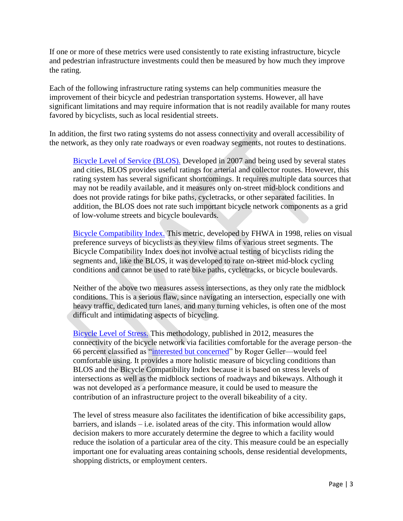If one or more of these metrics were used consistently to rate existing infrastructure, bicycle and pedestrian infrastructure investments could then be measured by how much they improve the rating.

Each of the following infrastructure rating systems can help communities measure the improvement of their bicycle and pedestrian transportation systems. However, all have significant limitations and may require information that is not readily available for many routes favored by bicyclists, such as local residential streets.

In addition, the first two rating systems do not assess connectivity and overall accessibility of the network, as they only rate roadways or even roadway segments, not routes to destinations.

[Bicycle Level of Service](http://www.sprinkleconsulting.com/Images/UserSubmitted/BicylceLevelofServiceModel.pdf) (BLOS). Developed in 2007 and being used by several states and cities, BLOS provides useful ratings for arterial and collector routes. However, this rating system has several significant shortcomings. It requires multiple data sources that may not be readily available, and it measures only on-street mid-block conditions and does not provide ratings for bike paths, cycletracks, or other separated facilities. In addition, the BLOS does not rate such important bicycle network components as a grid of low-volume streets and bicycle boulevards.

[Bicycle Compatibility Index.](http://safety.fhwa.dot.gov/tools/docs/bci.pdf) This metric, developed by FHWA in 1998, relies on visual preference surveys of bicyclists as they view films of various street segments. The Bicycle Compatibility Index does not involve actual testing of bicyclists riding the segments and, like the BLOS, it was developed to rate on-street mid-block cycling conditions and cannot be used to rate bike paths, cycletracks, or bicycle boulevards.

Neither of the above two measures assess intersections, as they only rate the midblock conditions. This is a serious flaw, since navigating an intersection, especially one with heavy traffic, dedicated turn lanes, and many turning vehicles, is often one of the most difficult and intimidating aspects of bicycling.

[Bicycle Level of Stress.](http://transweb.sjsu.edu/project/1005.html) This methodology, published in 2012, measures the connectivity of the bicycle network via facilities comfortable for the average person–the 66 percent classified as ["interested but concerned"](http://web.pdx.edu/~jdill/Types_of_Cyclists_PSUWorkingPaper.pdf) by Roger Geller—would feel comfortable using. It provides a more holistic measure of bicycling conditions than BLOS and the Bicycle Compatibility Index because it is based on stress levels of intersections as well as the midblock sections of roadways and bikeways. Although it was not developed as a performance measure, it could be used to measure the contribution of an infrastructure project to the overall bikeability of a city.

The level of stress measure also facilitates the identification of bike accessibility gaps,  $barriers$ , and islands  $-$  i.e. isolated areas of the city. This information would allow decision makers to more accurately determine the degree to which a facility would reduce the isolation of a particular area of the city. This measure could be an especially important one for evaluating areas containing schools, dense residential developments, shopping districts, or employment centers.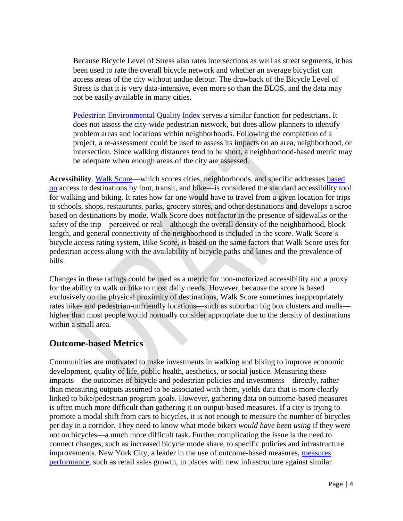Because Bicycle Level of Stress also rates intersections as well as street segments, it has been used to rate the overall bicycle network and whether an average bicyclist can access areas of the city without undue detour. The drawback of the Bicycle Level of Stress is that it is very data-intensive, even more so than the BLOS, and the data may not be easily available in many cities.

[Pedestrian Environmental Quality Index](http://www.sfhealthequity.org/elements/24-elements/tools/106-pedestrian-environmental-quality-index) serves a similar function for pedestrians. It does not assess the city-wide pedestrian network, but does allow planners to identify problem areas and locations within neighborhoods. Following the completion of a project, a re-assessment could be used to assess its impacts on an area, neighborhood, or intersection. Since walking distances tend to be short, a neighborhood-based metric may be adequate when enough areas of the city are assessed.

**Accessibility**. [Walk Score—](http://www.walkscore.com/)which scores cities, neighborhoods, and specific addresses [based](http://www.walkscore.com/methodology.shtml)  [on](http://www.walkscore.com/methodology.shtml) access to destinations by foot, transit, and bike—is considered the standard accessibility tool for walking and biking. It rates how far one would have to travel from a given location for trips to schools, shops, restaurants, parks, grocery stores, and other destinations and develops a scroe based on destinations by mode. Walk Score does not factor in the presence of sidewalks or the safety of the trip—perceived or real—although the overall density of the neighborhood, block length, and general connectivity of the neighborhood is included in the score. Walk Score's bicycle access rating system, Bike Score, is based on the same factors that Walk Score uses for pedestrian access along with the availability of bicycle paths and lanes and the prevalence of hills.

Changes in these ratings could be used as a metric for non-motorized accessibility and a proxy for the ability to walk or bike to most daily needs. However, because the score is based exclusively on the physical proximity of destinations, Walk Score sometimes inappropriately rates bike- and pedestrian-unfriendly locations—such as suburban big box clusters and malls higher than most people would normally consider appropriate due to the density of destinations within a small area.

### **Outcome-based Metrics**

Communities are motivated to make investments in walking and biking to improve economic development, quality of life, public health, aesthetics, or social justice. Measuring these impacts—the outcomes of bicycle and pedestrian policies and investments—directly, rather than measuring outputs assumed to be associated with them, yields data that is more clearly linked to bike/pedestrian program goals. However, gathering data on outcome-based measures is often much more difficult than gathering it on output-based measures. If a city is trying to promote a modal shift from cars to bicycles, it is not enough to measure the number of bicycles per day in a corridor. They need to know what mode bikers *would have been using* if they were not on bicycles—a much more difficult task. Further complicating the issue is the need to connect changes, such as increased bicycle mode share, to specific policies and infrastructure improvements. New York City, a leader in the use of outcome-based measures, [measures](http://www.nyc.gov/html/dot/downloads/pdf/dot-economic-benefits-of-sustainable-streets.pdf)  [performance,](http://www.nyc.gov/html/dot/downloads/pdf/dot-economic-benefits-of-sustainable-streets.pdf) such as retail sales growth, in places with new infrastructure against similar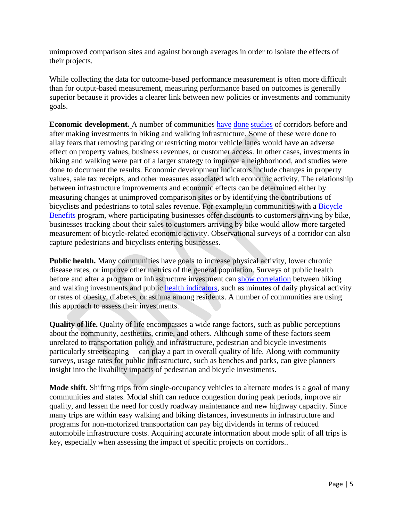unimproved comparison sites and against borough averages in order to isolate the effects of their projects.

While collecting the data for outcome-based performance measurement is often more difficult than for output-based measurement, measuring performance based on outcomes is generally superior because it provides a clearer link between new policies or investments and community goals.

**Economic development.** A number of communities [have](http://www.advocacyadvance.org/site_images/content/Final_Econ_Update(small).pdf) [done](http://former.vancouver.ca/ctyclerk/cclerk/20110728/documents/penv3-BusinessImpactStudyReportDowntownSeparatedBicycleLanes-StantecReport.pdf) [studies](http://www.nyc.gov/html/dot/downloads/pdf/dot-economic-benefits-of-sustainable-streets.pdf) of corridors before and after making investments in biking and walking infrastructure. Some of these were done to allay fears that removing parking or restricting motor vehicle lanes would have an adverse effect on property values, business revenues, or customer access. In other cases, investments in biking and walking were part of a larger strategy to improve a neighborhood, and studies were done to document the results. Economic development indicators include changes in property values, sale tax receipts, and other measures associated with economic activity. The relationship between infrastructure improvements and economic effects can be determined either by measuring changes at unimproved comparison sites or by identifying the contributions of bicyclists and pedestrians to total sales revenue. For example, in communities with a Bicycle [Benefits](http://bb2.bicyclebenefits.org/) program, where participating businesses offer discounts to customers arriving by bike, businesses tracking about their sales to customers arriving by bike would allow more targeted measurement of bicycle-related economic activity. Observational surveys of a corridor can also capture pedestrians and bicyclists entering businesses.

**Public health.** Many communities have goals to increase physical activity, lower chronic disease rates, or improve other metrics of the general population. Surveys of public health before and after a program or infrastructure investment can [show correlation](http://www.sciencedirect.com/science/article/pii/S2214140514000486) between biking and walking investments and public [health indicators,](http://www.bmj.com/content/349/bmj.g4887#T1) such as minutes of daily physical activity or rates of obesity, diabetes, or asthma among residents. A number of communities are using this approach to assess their investments.

**Quality of life.** Quality of life encompasses a wide range factors, such as public perceptions about the community, aesthetics, crime, and others. Although some of these factors seem unrelated to transportation policy and infrastructure, pedestrian and bicycle investments particularly streetscaping— can play a part in overall quality of life. Along with community surveys, usage rates for public infrastructure, such as benches and parks, can give planners insight into the livability impacts of pedestrian and bicycle investments.

**Mode shift.** Shifting trips from single-occupancy vehicles to alternate modes is a goal of many communities and states. Modal shift can reduce congestion during peak periods, improve air quality, and lessen the need for costly roadway maintenance and new highway capacity. Since many trips are within easy walking and biking distances, investments in infrastructure and programs for non-motorized transportation can pay big dividends in terms of reduced automobile infrastructure costs. Acquiring accurate information about mode split of all trips is key, especially when assessing the impact of specific projects on corridors..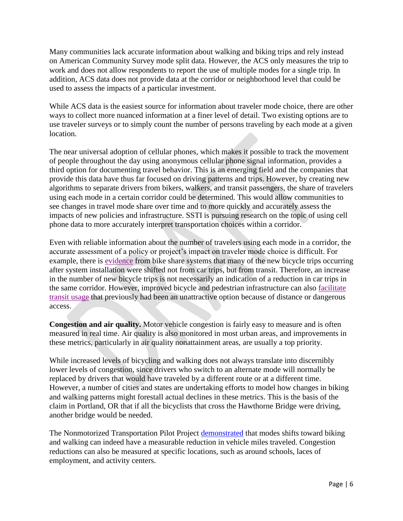Many communities lack accurate information about walking and biking trips and rely instead on American Community Survey mode split data. However, the ACS only measures the trip to work and does not allow respondents to report the use of multiple modes for a single trip. In addition, ACS data does not provide data at the corridor or neighborhood level that could be used to assess the impacts of a particular investment.

While ACS data is the easiest source for information about traveler mode choice, there are other ways to collect more nuanced information at a finer level of detail. Two existing options are to use traveler surveys or to simply count the number of persons traveling by each mode at a given location.

The near universal adoption of cellular phones, which makes it possible to track the movement of people throughout the day using anonymous cellular phone signal information, provides a third option for documenting travel behavior. This is an emerging field and the companies that provide this data have thus far focused on driving patterns and trips. However, by creating new algorithms to separate drivers from bikers, walkers, and transit passengers, the share of travelers using each mode in a certain corridor could be determined. This would allow communities to see changes in travel mode share over time and to more quickly and accurately assess the impacts of new policies and infrastructure. SSTI is pursuing research on the topic of using cell phone data to more accurately interpret transportation choices within a corridor.

Even with reliable information about the number of travelers using each mode in a corridor, the accurate assessment of a policy or project's impact on traveler mode choice is difficult. For example, there is [evidence](http://linkinghub.elsevier.com/retrieve/pii/S0966692314001409) from bike share systems that many of the new bicycle trips occurring after system installation were shifted not from car trips, but from transit. Therefore, an increase in the number of new bicycle trips is not necessarily an indication of a reduction in car trips in the same corridor. However, improved bicycle and pedestrian infrastructure can also [facilitate](http://nacto.org/wp-content/uploads/2012/04/William-Van-Meter-RTD-FasTracks.pdf) [transit usage](http://www.sfmta.com/projects-planning/projects/bike-sharing) that previously had been an unattractive option because of distance or dangerous access.

**Congestion and air quality.** Motor vehicle congestion is fairly easy to measure and is often measured in real time. Air quality is also monitored in most urban areas, and improvements in these metrics, particularly in air quality nonattainment areas, are usually a top priority.

While increased levels of bicycling and walking does not always translate into discernibly lower levels of congestion, since drivers who switch to an alternate mode will normally be replaced by drivers that would have traveled by a different route or at a different time. However, a number of cities and states are undertaking efforts to model how changes in biking and walking patterns might forestall actual declines in these metrics. This is the basis of the claim in Portland, OR that if all the bicyclists that cross the Hawthorne Bridge were driving, another bridge would be needed.

The Nonmotorized Transportation Pilot Project [demonstrated](http://docs.trb.org/prp/13-4916.pdf) that modes shifts toward biking and walking can indeed have a measurable reduction in vehicle miles traveled. Congestion reductions can also be measured at specific locations, such as around schools, laces of employment, and activity centers.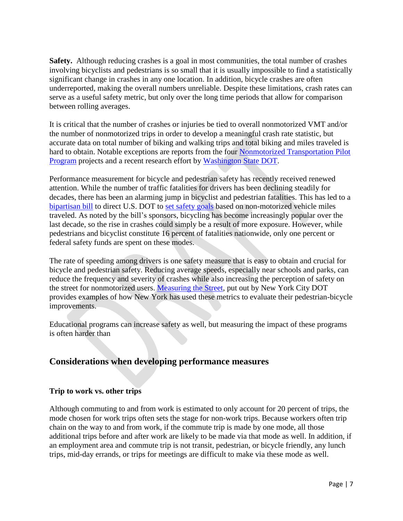**Safety.** Although reducing crashes is a goal in most communities, the total number of crashes involving bicyclists and pedestrians is so small that it is usually impossible to find a statistically significant change in crashes in any one location. In addition, bicycle crashes are often underreported, making the overall numbers unreliable. Despite these limitations, crash rates can serve as a useful safety metric, but only over the long time periods that allow for comparison between rolling averages.

It is critical that the number of crashes or injuries be tied to overall nonmotorized VMT and/or the number of nonmotorized trips in order to develop a meaningful crash rate statistic, but accurate data on total number of biking and walking trips and total biking and miles traveled is hard to obtain. Notable exceptions are reports from the four [Nonmotorized Transportation Pilot](http://www.fhwa.dot.gov/environment/bicycle_pedestrian/ntpp/)  [Program](http://www.fhwa.dot.gov/environment/bicycle_pedestrian/ntpp/) projects and a recent research effort by [Washington State DOT.](http://www.wsdot.wa.gov/research/reports/fullreports/828.1.pdf)

Performance measurement for bicycle and pedestrian safety has recently received renewed attention. While the number of traffic fatalities for drivers has been declining steadily for decades, there has been an alarming jump in bicyclist and pedestrian fatalities. This has led to a [bipartisan bill](http://blumenauer.house.gov/index.php/newsroom/press-releases/2263-blumenauer-defazio-coble-mccaul-introduce-bipartisan-bicycle-and-pedestrian-safety-act) to direct U.S. DOT to [set safety goals](http://www.bikede.org/2013/11/19/seven-words/) based on non-motorized vehicle miles traveled. As noted by the bill's sponsors, bicycling has become increasingly popular over the last decade, so the rise in crashes could simply be a result of more exposure. However, while pedestrians and bicyclist constitute 16 percent of fatalities nationwide, only one percent or federal safety funds are spent on these modes.

The rate of speeding among drivers is one safety measure that is easy to obtain and crucial for bicycle and pedestrian safety. Reducing average speeds, especially near schools and parks, can reduce the frequency and severity of crashes while also increasing the perception of safety on the street for nonmotorized users. [Measuring the Street,](http://www.nyc.gov/html/dot/downloads/pdf/2012-10-measuring-the-street.pdf) put out by New York City DOT provides examples of how New York has used these metrics to evaluate their pedestrian-bicycle improvements.

Educational programs can increase safety as well, but measuring the impact of these programs is often harder than

### **Considerations when developing performance measures**

### **Trip to work vs. other trips**

Although commuting to and from work is estimated to only account for 20 percent of trips, the mode chosen for work trips often sets the stage for non-work trips. Because workers often trip chain on the way to and from work, if the commute trip is made by one mode, all those additional trips before and after work are likely to be made via that mode as well. In addition, if an employment area and commute trip is not transit, pedestrian, or bicycle friendly, any lunch trips, mid-day errands, or trips for meetings are difficult to make via these mode as well.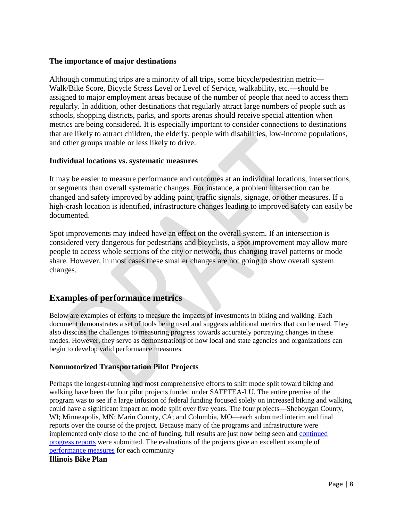### **The importance of major destinations**

Although commuting trips are a minority of all trips, some bicycle/pedestrian metric— Walk/Bike Score, Bicycle Stress Level or Level of Service, walkability, etc.—should be assigned to major employment areas because of the number of people that need to access them regularly. In addition, other destinations that regularly attract large numbers of people such as schools, shopping districts, parks, and sports arenas should receive special attention when metrics are being considered. It is especially important to consider connections to destinations that are likely to attract children, the elderly, people with disabilities, low-income populations, and other groups unable or less likely to drive.

### **Individual locations vs. systematic measures**

It may be easier to measure performance and outcomes at an individual locations, intersections, or segments than overall systematic changes. For instance, a problem intersection can be changed and safety improved by adding paint, traffic signals, signage, or other measures. If a high-crash location is identified, infrastructure changes leading to improved safety can easily be documented.

Spot improvements may indeed have an effect on the overall system. If an intersection is considered very dangerous for pedestrians and bicyclists, a spot improvement may allow more people to access whole sections of the city or network, thus changing travel patterns or mode share. However, in most cases these smaller changes are not going to show overall system changes.

## **Examples of performance metrics**

Below are examples of efforts to measure the impacts of investments in biking and walking. Each document demonstrates a set of tools being used and suggests additional metrics that can be used. They also disscuss the challenges to measuring progress towards accurately portraying changes in these modes. However, they serve as demonstrations of how local and state agencies and organizations can begin to develop valid performance measures.

### **Nonmotorized Transportation Pilot Projects**

Perhaps the longest-running and most comprehensive efforts to shift mode split toward biking and walking have been the four pilot projects funded under SAFETEA-LU. The entire premise of the program was to see if a large infusion of federal funding focused solely on increased biking and walking could have a significant impact on mode split over five years. The four projects—Sheboygan County, WI; Minneapolis, MN; Marin County, CA; and Columbia, MO—each submitted interim and final reports over the course of the project. Because many of the programs and infrastructure were implemented only close to the end of funding, full results are just now being seen and [continued](http://www.fhwa.dot.gov/environment/bicycle_pedestrian/ntpp/2014_report/)  [progress reports](http://www.fhwa.dot.gov/environment/bicycle_pedestrian/ntpp/2014_report/) were submitted. The evaluations of the projects give an excellent example of [performance measures](http://docs.trb.org/prp/13-4916.pdf) for each community

#### **Illinois Bike Plan**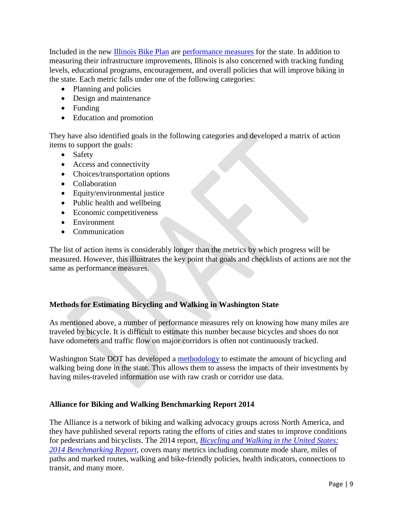Included in the new [Illinois Bike Plan](http://www.illinoisbikeplan.com/) are [performance measures](http://www.idot.illinois.gov/Assets/uploads/files/Transportation-System/Reports/OP&P/Plans/Illinois%20Bike%20Transportation%20Plan%202014.pdf#page=26) for the state. In addition to measuring their infrastructure improvements, Illinois is also concerned with tracking funding levels, educational programs, encouragement, and overall policies that will improve biking in the state. Each metric falls under one of the following categories:

- Planning and policies
- Design and maintenance
- Funding
- Education and promotion

They have also identified goals in the following categories and developed a matrix of action items to support the goals:

- Safety
- Access and connectivity
- Choices/transportation options
- Collaboration
- Equity/environmental justice
- Public health and wellbeing
- Economic competitiveness
- Environment
- Communication

The list of action items is considerably longer than the metrics by which progress will be measured. However, this illustrates the key point that goals and checklists of actions are not the same as performance measures.

### **Methods for Estimating Bicycling and Walking in Washington State**

As mentioned above, a number of performance measures rely on knowing how many miles are traveled by bicycle. It is difficult to estimate this number because bicycles and shoes do not have odometers and traffic flow on major corridors is often not continuously tracked.

Washington State DOT has developed a [methodology](https://www.google.com/url?sa=t&rct=j&q=&esrc=s&source=web&cd=1&cad=rja&uact=8&ved=0CB4QFjAA&url=http%3A%2F%2Fwww.wsdot.wa.gov%2Fresearch%2Freports%2Ffullreports%2F828.1.pdf&ei=zsL3U9fQEo6wyATJ1oGQAQ&usg=AFQjCNHGlRL3FAsfoPOxnG9gbBEyxJ0xyw&sig2=-Mko_7dwUrJpgKfqgblUyQ&bvm=bv.73612305,d.aWw) to estimate the amount of bicycling and walking being done in the state. This allows them to assess the impacts of their investments by having miles-traveled information use with raw crash or corridor use data.

### **Alliance for Biking and Walking Benchmarking Report 2014**

The Alliance is a network of biking and walking advocacy groups across North America, and they have published several reports rating the efforts of cities and states to improve conditions for pedestrians and bicyclists. The 2014 report, *[Bicycling and Walking in the United States:](http://www.bikewalkalliance.org/resources/benchmarking)  [2014 Benchmarking Report](http://www.bikewalkalliance.org/resources/benchmarking)*, covers many metrics including commute mode share, miles of paths and marked routes, walking and bike-friendly policies, health indicators, connections to transit, and many more.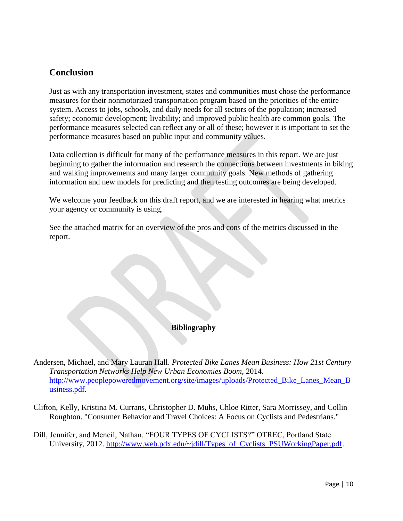### **Conclusion**

Just as with any transportation investment, states and communities must chose the performance measures for their nonmotorized transportation program based on the priorities of the entire system. Access to jobs, schools, and daily needs for all sectors of the population; increased safety; economic development; livability; and improved public health are common goals. The performance measures selected can reflect any or all of these; however it is important to set the performance measures based on public input and community values.

Data collection is difficult for many of the performance measures in this report. We are just beginning to gather the information and research the connections between investments in biking and walking improvements and many larger community goals. New methods of gathering information and new models for predicting and then testing outcomes are being developed.

We welcome your feedback on this draft report, and we are interested in hearing what metrics your agency or community is using.

See the attached matrix for an overview of the pros and cons of the metrics discussed in the report.

### **Bibliography**

Andersen, Michael, and Mary Lauran Hall. *Protected Bike Lanes Mean Business: How 21st Century Transportation Networks Help New Urban Economies Boom*, 2014. http://www.peoplepoweredmovement.org/site/images/uploads/Protected Bike Lanes Mean B [usiness.pdf.](http://www.peoplepoweredmovement.org/site/images/uploads/Protected_Bike_Lanes_Mean_Business.pdf)

Clifton, Kelly, Kristina M. Currans, Christopher D. Muhs, Chloe Ritter, Sara Morrissey, and Collin Roughton. "Consumer Behavior and Travel Choices: A Focus on Cyclists and Pedestrians."

Dill, Jennifer, and Mcneil, Nathan. "FOUR TYPES OF CYCLISTS?" OTREC, Portland State University, 2012. [http://www.web.pdx.edu/~jdill/Types\\_of\\_Cyclists\\_PSUWorkingPaper.pdf.](http://www.web.pdx.edu/~jdill/Types_of_Cyclists_PSUWorkingPaper.pdf)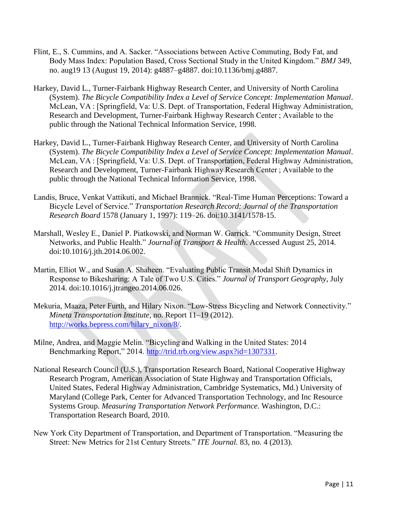- Flint, E., S. Cummins, and A. Sacker. "Associations between Active Commuting, Body Fat, and Body Mass Index: Population Based, Cross Sectional Study in the United Kingdom." *BMJ* 349, no. aug19 13 (August 19, 2014): g4887–g4887. doi:10.1136/bmj.g4887.
- Harkey, David L., Turner-Fairbank Highway Research Center, and University of North Carolina (System). *The Bicycle Compatibility Index a Level of Service Concept: Implementation Manual*. McLean, VA : [Springfield, Va: U.S. Dept. of Transportation, Federal Highway Administration, Research and Development, Turner-Fairbank Highway Research Center ; Available to the public through the National Technical Information Service, 1998.
- Harkey, David L., Turner-Fairbank Highway Research Center, and University of North Carolina (System). *The Bicycle Compatibility Index a Level of Service Concept: Implementation Manual*. McLean, VA : [Springfield, Va: U.S. Dept. of Transportation, Federal Highway Administration, Research and Development, Turner-Fairbank Highway Research Center ; Available to the public through the National Technical Information Service, 1998.
- Landis, Bruce, Venkat Vattikuti, and Michael Brannick. "Real-Time Human Perceptions: Toward a Bicycle Level of Service." *Transportation Research Record: Journal of the Transportation Research Board* 1578 (January 1, 1997): 119–26. doi:10.3141/1578-15.
- Marshall, Wesley E., Daniel P. Piatkowski, and Norman W. Garrick. "Community Design, Street Networks, and Public Health." *Journal of Transport & Health*. Accessed August 25, 2014. doi:10.1016/j.jth.2014.06.002.
- Martin, Elliot W., and Susan A. Shaheen. "Evaluating Public Transit Modal Shift Dynamics in Response to Bikesharing: A Tale of Two U.S. Cities." *Journal of Transport Geography*, July 2014. doi:10.1016/j.jtrangeo.2014.06.026.
- Mekuria, Maaza, Peter Furth, and Hilary Nixon. "Low-Stress Bicycling and Network Connectivity." *Mineta Transportation Institute*, no. Report 11–19 (2012). [http://works.bepress.com/hilary\\_nixon/8/.](http://works.bepress.com/hilary_nixon/8/)
- Milne, Andrea, and Maggie Melin. "Bicycling and Walking in the United States: 2014 Benchmarking Report," 2014. [http://trid.trb.org/view.aspx?id=1307331.](http://trid.trb.org/view.aspx?id=1307331)
- National Research Council (U.S.), Transportation Research Board, National Cooperative Highway Research Program, American Association of State Highway and Transportation Officials, United States, Federal Highway Administration, Cambridge Systematics, Md.) University of Maryland (College Park, Center for Advanced Transportation Technology, and Inc Resource Systems Group. *Measuring Transportation Network Performance*. Washington, D.C.: Transportation Research Board, 2010.
- New York City Department of Transportation, and Department of Transportation. "Measuring the Street: New Metrics for 21st Century Streets." *ITE Journal.* 83, no. 4 (2013).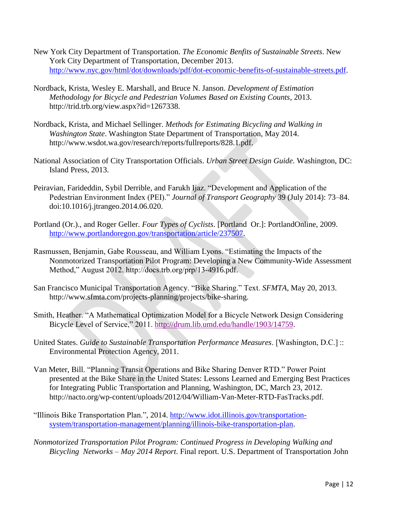- New York City Department of Transportation. *The Economic Benfits of Sustainable Streets*. New York City Department of Transportation, December 2013. [http://www.nyc.gov/html/dot/downloads/pdf/dot-economic-benefits-of-sustainable-streets.pdf.](http://www.nyc.gov/html/dot/downloads/pdf/dot-economic-benefits-of-sustainable-streets.pdf)
- Nordback, Krista, Wesley E. Marshall, and Bruce N. Janson. *Development of Estimation Methodology for Bicycle and Pedestrian Volumes Based on Existing Counts*, 2013. http://trid.trb.org/view.aspx?id=1267338.
- Nordback, Krista, and Michael Sellinger. *Methods for Estimating Bicycling and Walking in Washington State*. Washington State Department of Transportation, May 2014. http://www.wsdot.wa.gov/research/reports/fullreports/828.1.pdf.
- National Association of City Transportation Officials. *Urban Street Design Guide*. Washington, DC: Island Press, 2013.
- Peiravian, Farideddin, Sybil Derrible, and Farukh Ijaz. "Development and Application of the Pedestrian Environment Index (PEI)." *Journal of Transport Geography* 39 (July 2014): 73–84. doi:10.1016/j.jtrangeo.2014.06.020.
- Portland (Or.)., and Roger Geller. *Four Types of Cyclists*. [Portland Or.]: PortlandOnline, 2009. [http://www.portlandoregon.gov/transportation/article/237507.](http://www.portlandoregon.gov/transportation/article/237507)
- Rasmussen, Benjamin, Gabe Rousseau, and William Lyons. "Estimating the Impacts of the Nonmotorized Transportation Pilot Program: Developing a New Community-Wide Assessment Method," August 2012. http://docs.trb.org/prp/13-4916.pdf.
- San Francisco Municipal Transportation Agency. "Bike Sharing." Text. *SFMTA*, May 20, 2013. http://www.sfmta.com/projects-planning/projects/bike-sharing.
- Smith, Heather. "A Mathematical Optimization Model for a Bicycle Network Design Considering Bicycle Level of Service," 2011. [http://drum.lib.umd.edu/handle/1903/14759.](http://drum.lib.umd.edu/handle/1903/14759)
- United States. *Guide to Sustainable Transportation Performance Measures*. [Washington, D.C.] :: Environmental Protection Agency, 2011.
- Van Meter, Bill. "Planning Transit Operations and Bike Sharing Denver RTD." Power Point presented at the Bike Share in the United States: Lessons Learned and Emerging Best Practices for Integrating Public Transportation and Planning, Washington, DC, March 23, 2012. http://nacto.org/wp-content/uploads/2012/04/William-Van-Meter-RTD-FasTracks.pdf.
- "Illinois Bike Transportation Plan.", 2014. [http://www.idot.illinois.gov/transportation](http://www.idot.illinois.gov/transportation-system/transportation-management/planning/illinois-bike-transportation-plan)[system/transportation-management/planning/illinois-bike-transportation-plan.](http://www.idot.illinois.gov/transportation-system/transportation-management/planning/illinois-bike-transportation-plan)
- *Nonmotorized Transportation Pilot Program: Continued Progress in Developing Walking and Bicycling Networks – May 2014 Report*. Final report. U.S. Department of Transportation John